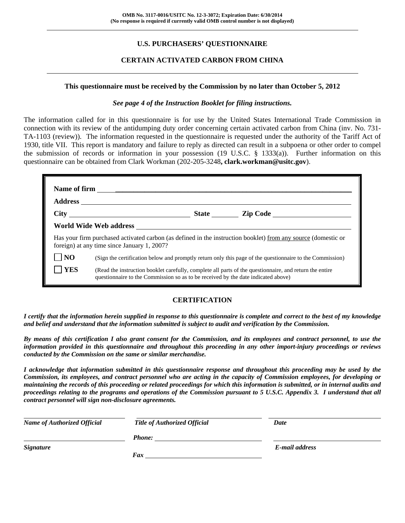# **U.S. PURCHASERS' QUESTIONNAIRE**

## **CERTAIN ACTIVATED CARBON FROM CHINA**

#### **This questionnaire must be received by the Commission by no later than October 5, 2012**

#### *See page 4 of the Instruction Booklet for filing instructions.*

The information called for in this questionnaire is for use by the United States International Trade Commission in connection with its review of the antidumping duty order concerning certain activated carbon from China (inv. No. 731- TA-1103 (review)). The information requested in the questionnaire is requested under the authority of the Tariff Act of 1930, title VII. This report is mandatory and failure to reply as directed can result in a subpoena or other order to compel the submission of records or information in your possession (19 U.S.C. § 1333(a)). Further information on this questionnaire can be obtained from Clark Workman (202-205-3248**, clark.workman@usitc.gov**).

|                | foreign) at any time since January 1, 2007?                                                                                                                                                  |  | Has your firm purchased activated carbon (as defined in the instruction booklet) from any source (domestic or |  |  |
|----------------|----------------------------------------------------------------------------------------------------------------------------------------------------------------------------------------------|--|---------------------------------------------------------------------------------------------------------------|--|--|
| N <sub>O</sub> | (Sign the certification below and promptly return only this page of the questionnaire to the Commission)                                                                                     |  |                                                                                                               |  |  |
| <b>YES</b>     | (Read the instruction booklet carefully, complete all parts of the questionnaire, and return the entire<br>questionnaire to the Commission so as to be received by the date indicated above) |  |                                                                                                               |  |  |

# **CERTIFICATION**

*I certify that the information herein supplied in response to this questionnaire is complete and correct to the best of my knowledge and belief and understand that the information submitted is subject to audit and verification by the Commission.* 

*By means of this certification I also grant consent for the Commission, and its employees and contract personnel, to use the information provided in this questionnaire and throughout this proceeding in any other import-injury proceedings or reviews conducted by the Commission on the same or similar merchandise.* 

*I acknowledge that information submitted in this questionnaire response and throughout this proceeding may be used by the Commission, its employees, and contract personnel who are acting in the capacity of Commission employees, for developing or maintaining the records of this proceeding or related proceedings for which this information is submitted, or in internal audits and proceedings relating to the programs and operations of the Commission pursuant to 5 U.S.C. Appendix 3. I understand that all contract personnel will sign non-disclosure agreements.* 

| <b>Name of Authorized Official</b> | <b>Title of Authorized Official</b> | Date           |
|------------------------------------|-------------------------------------|----------------|
|                                    | Phone:                              |                |
| <i>Signature</i>                   |                                     | E-mail address |
|                                    | Fax                                 |                |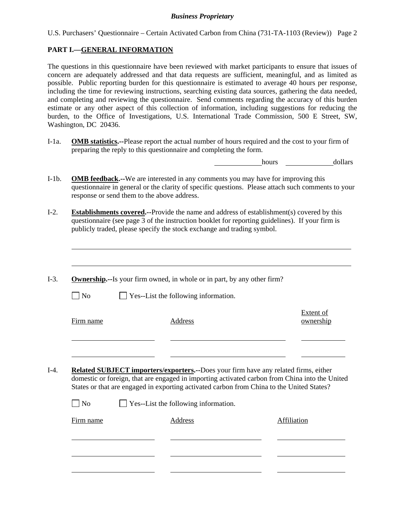U.S. Purchasers' Questionnaire – Certain Activated Carbon from China (731-TA-1103 (Review)) Page 2

## **PART I.—GENERAL INFORMATION**

l

The questions in this questionnaire have been reviewed with market participants to ensure that issues of concern are adequately addressed and that data requests are sufficient, meaningful, and as limited as possible. Public reporting burden for this questionnaire is estimated to average 40 hours per response, including the time for reviewing instructions, searching existing data sources, gathering the data needed, and completing and reviewing the questionnaire. Send comments regarding the accuracy of this burden estimate or any other aspect of this collection of information, including suggestions for reducing the burden, to the Office of Investigations, U.S. International Trade Commission, 500 E Street, SW, Washington, DC 20436.

I-1a. **OMB statistics.--**Please report the actual number of hours required and the cost to your firm of preparing the reply to this questionnaire and completing the form.

hours **hours** dollars

- I-1b. **OMB feedback.--**We are interested in any comments you may have for improving this questionnaire in general or the clarity of specific questions. Please attach such comments to your response or send them to the above address.
- I-2. **Establishments covered.--**Provide the name and address of establishment(s) covered by this questionnaire (see page 3 of the instruction booklet for reporting guidelines). If your firm is publicly traded, please specify the stock exchange and trading symbol.
- I-3. **Ownership.--**Is your firm owned, in whole or in part, by any other firm?  $\Box$  No  $\Box$  Yes--List the following information. Firm name Address Extent of ownership l l I-4. **Related SUBJECT importers/exporters.--**Does your firm have any related firms, either domestic or foreign, that are engaged in importing activated carbon from China into the United States or that are engaged in exporting activated carbon from China to the United States?  $\Box$  No  $\Box$  Yes--List the following information. Firm name **Address** Affiliation l l l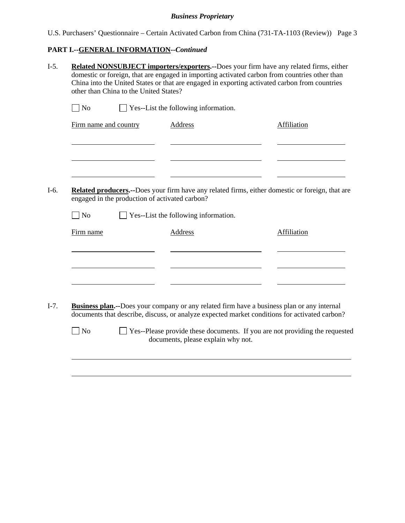| U.S. Purchasers' Questionnaire – Certain Activated Carbon from China (731-TA-1103 (Review)) Page 3 |  |  |  |  |
|----------------------------------------------------------------------------------------------------|--|--|--|--|

# **PART I.--GENERAL INFORMATION***--Continued*

|                                                | Yes--List the following information.                                                                    |                                                                                               |
|------------------------------------------------|---------------------------------------------------------------------------------------------------------|-----------------------------------------------------------------------------------------------|
| Firm name and country                          | <b>Address</b>                                                                                          | Affiliation                                                                                   |
| engaged in the production of activated carbon? | <b>Related producers.</b> --Does your firm have any related firms, either domestic or foreign, that are |                                                                                               |
| N <sub>o</sub>                                 | Yes--List the following information.                                                                    |                                                                                               |
| Firm name                                      | <b>Address</b>                                                                                          | Affiliation                                                                                   |
|                                                |                                                                                                         |                                                                                               |
|                                                | <b>Business plan.</b> --Does your company or any related firm have a business plan or any internal      | documents that describe, discuss, or analyze expected market conditions for activated carbon? |
|                                                |                                                                                                         |                                                                                               |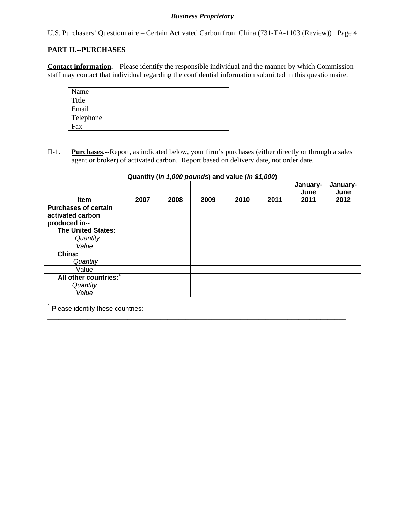U.S. Purchasers' Questionnaire – Certain Activated Carbon from China (731-TA-1103 (Review)) Page 4

## **PART II.--PURCHASES**

**Contact information.**-- Please identify the responsible individual and the manner by which Commission staff may contact that individual regarding the confidential information submitted in this questionnaire.

| Name      |  |
|-----------|--|
| Title     |  |
| Email     |  |
| Telephone |  |
| Fax       |  |

II-1. **Purchases.--**Report, as indicated below, your firm's purchases (either directly or through a sales agent or broker) of activated carbon. Report based on delivery date, not order date.

|                                                                                                           | Quantity (in 1,000 pounds) and value (in \$1,000) |      |      |      |      |                          |                          |
|-----------------------------------------------------------------------------------------------------------|---------------------------------------------------|------|------|------|------|--------------------------|--------------------------|
| <b>Item</b>                                                                                               | 2007                                              | 2008 | 2009 | 2010 | 2011 | January-<br>June<br>2011 | January-<br>June<br>2012 |
| <b>Purchases of certain</b><br>activated carbon<br>produced in--<br><b>The United States:</b><br>Quantity |                                                   |      |      |      |      |                          |                          |
| Value                                                                                                     |                                                   |      |      |      |      |                          |                          |
| China:<br>Quantity                                                                                        |                                                   |      |      |      |      |                          |                          |
| Value                                                                                                     |                                                   |      |      |      |      |                          |                          |
| All other countries: <sup>1</sup><br>Quantity                                                             |                                                   |      |      |      |      |                          |                          |
| Value                                                                                                     |                                                   |      |      |      |      |                          |                          |
| <sup>1</sup> Please identify these countries:                                                             |                                                   |      |      |      |      |                          |                          |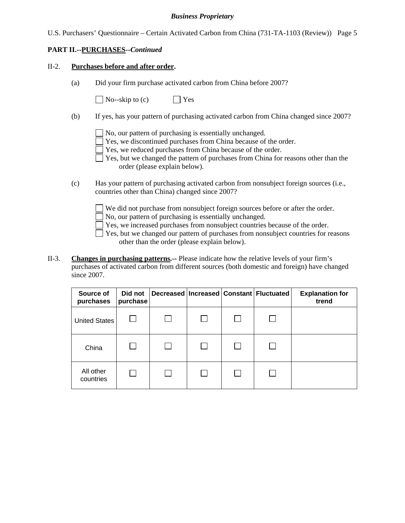| U.S. Purchasers' Questionnaire – Certain Activated Carbon from China (731-TA-1103 (Review)) Page 5 |  |  |  |  |
|----------------------------------------------------------------------------------------------------|--|--|--|--|
|                                                                                                    |  |  |  |  |

### **PART II.--PURCHASES***--Continued*

#### II-2. **Purchases before and after order.**

(a) Did your firm purchase activated carbon from China before 2007?

 $\bigcap$  No--skip to (c)  $\bigcap$  Yes

- (b) If yes, has your pattern of purchasing activated carbon from China changed since 2007?
	- No, our pattern of purchasing is essentially unchanged.
	- Yes, we discontinued purchases from China because of the order.
	- Yes, we reduced purchases from China because of the order.
	- $\Box$  Yes, but we changed the pattern of purchases from China for reasons other than the order (please explain below).
- (c) Has your pattern of purchasing activated carbon from nonsubject foreign sources (i.e., countries other than China) changed since 2007?
	- We did not purchase from nonsubject foreign sources before or after the order.
	- No, our pattern of purchasing is essentially unchanged.
	- Yes, we increased purchases from nonsubject countries because of the order.
	- $\Box$  Yes, but we changed our pattern of purchases from nonsubject countries for reasons other than the order (please explain below).
- II-3. **Changes in purchasing patterns.--** Please indicate how the relative levels of your firm's purchases of activated carbon from different sources (both domestic and foreign) have changed since 2007.

| Source of<br>purchases | Did not<br>purchase |  | Decreased   Increased   Constant   Fluctuated | <b>Explanation for</b><br>trend |
|------------------------|---------------------|--|-----------------------------------------------|---------------------------------|
| United States          |                     |  |                                               |                                 |
| China                  |                     |  |                                               |                                 |
| All other<br>countries |                     |  |                                               |                                 |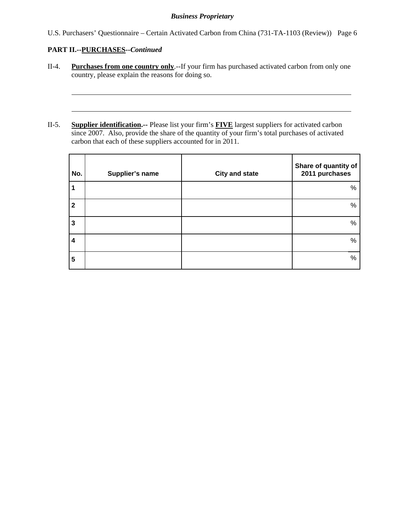U.S. Purchasers' Questionnaire – Certain Activated Carbon from China (731-TA-1103 (Review)) Page 6

# **PART II.--PURCHASES***--Continued*

l

l

- II-4. **Purchases from one country only**.--If your firm has purchased activated carbon from only one country, please explain the reasons for doing so.
- II-5. **Supplier identification.--** Please list your firm's **FIVE** largest suppliers for activated carbon since 2007. Also, provide the share of the quantity of your firm's total purchases of activated carbon that each of these suppliers accounted for in 2011.

| No.          | Supplier's name | <b>City and state</b> | Share of quantity of<br>2011 purchases |
|--------------|-----------------|-----------------------|----------------------------------------|
| 1            |                 |                       | %                                      |
| $\mathbf{2}$ |                 |                       | %                                      |
| $\mathbf{3}$ |                 |                       | %                                      |
| 4            |                 |                       | $\%$                                   |
| 5            |                 |                       | %                                      |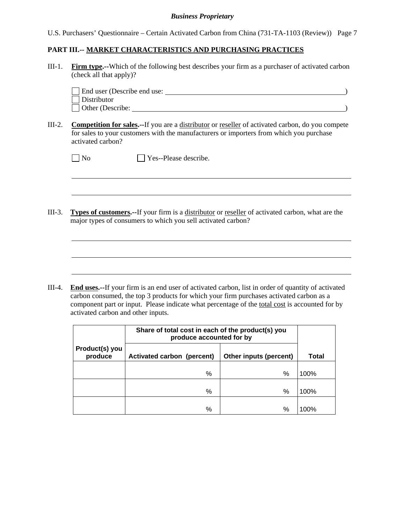U.S. Purchasers' Questionnaire – Certain Activated Carbon from China (731-TA-1103 (Review)) Page 7

## **PART III.-- MARKET CHARACTERISTICS AND PURCHASING PRACTICES**

III-1. **Firm type.--**Which of the following best describes your firm as a purchaser of activated carbon (check all that apply)?

| End user (Describe end use: |  |
|-----------------------------|--|
| Distributor                 |  |
| Other (Describe:            |  |

III-2. **Competition for sales.--**If you are a distributor or reseller of activated carbon, do you compete for sales to your customers with the manufacturers or importers from which you purchase activated carbon?

 $\overline{a}$ 

 $\overline{a}$ 

III-3. **Types of customers.--**If your firm is a distributor or reseller of activated carbon, what are the major types of consumers to which you sell activated carbon?

III-4. **End uses.--**If your firm is an end user of activated carbon, list in order of quantity of activated carbon consumed, the top 3 products for which your firm purchases activated carbon as a component part or input. Please indicate what percentage of the total cost is accounted for by activated carbon and other inputs.

|                           | Share of total cost in each of the product(s) you<br>produce accounted for by |              |      |
|---------------------------|-------------------------------------------------------------------------------|--------------|------|
| Product(s) you<br>produce | Activated carbon (percent)                                                    | <b>Total</b> |      |
|                           | %                                                                             | %            | 100% |
|                           | %                                                                             | %            | 100% |
|                           | %                                                                             | $\%$         | 100% |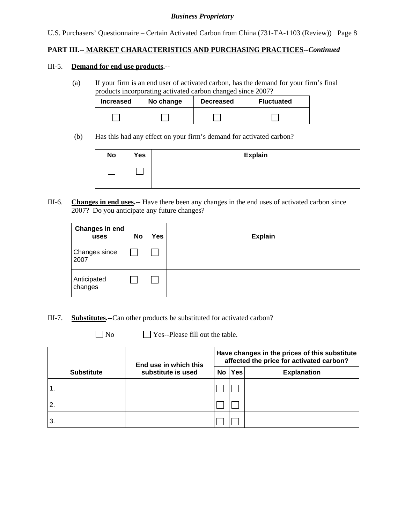U.S. Purchasers' Questionnaire – Certain Activated Carbon from China (731-TA-1103 (Review)) Page 8

### **PART III.-- MARKET CHARACTERISTICS AND PURCHASING PRACTICES***--Continued*

#### III-5. **Demand for end use products.--**

(a) If your firm is an end user of activated carbon, has the demand for your firm's final products incorporating activated carbon changed since 2007?

| <b>Increased</b> | No change | <b>Decreased</b> | <b>Fluctuated</b> |
|------------------|-----------|------------------|-------------------|
|                  |           |                  |                   |

(b) Has this had any effect on your firm's demand for activated carbon?

| <b>No</b> | Yes | <b>Explain</b> |
|-----------|-----|----------------|
|           |     |                |

III-6. **Changes in end uses.--** Have there been any changes in the end uses of activated carbon since 2007? Do you anticipate any future changes?

| Changes in end<br>uses | <b>No</b> | <b>Yes</b> | <b>Explain</b> |
|------------------------|-----------|------------|----------------|
| Changes since<br>2007  |           |            |                |
| Anticipated<br>changes |           |            |                |

- III-7. **Substitutes.--**Can other products be substituted for activated carbon?
	-

 $\Box$  No  $\Box$  Yes--Please fill out the table.

|    |                   | End use in which this |           | Have changes in the prices of this substitute<br>affected the price for activated carbon? |                    |  |  |
|----|-------------------|-----------------------|-----------|-------------------------------------------------------------------------------------------|--------------------|--|--|
|    | <b>Substitute</b> | substitute is used    | <b>No</b> | <b>Yes</b>                                                                                | <b>Explanation</b> |  |  |
|    |                   |                       |           |                                                                                           |                    |  |  |
| 2. |                   |                       |           |                                                                                           |                    |  |  |
| 3. |                   |                       |           |                                                                                           |                    |  |  |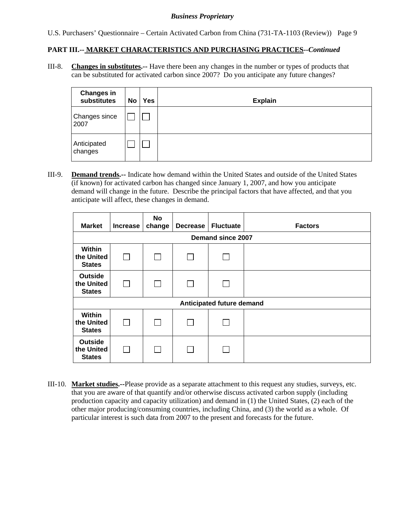U.S. Purchasers' Questionnaire – Certain Activated Carbon from China (731-TA-1103 (Review)) Page 9

### **PART III.-- MARKET CHARACTERISTICS AND PURCHASING PRACTICES***--Continued*

III-8. **Changes in substitutes.--** Have there been any changes in the number or types of products that can be substituted for activated carbon since 2007? Do you anticipate any future changes?

| <b>Changes in</b><br>substitutes | No | <b>Yes</b> | <b>Explain</b> |
|----------------------------------|----|------------|----------------|
| Changes since<br>2007            |    |            |                |
| Anticipated<br>changes           |    |            |                |

III-9. **Demand trends.--** Indicate how demand within the United States and outside of the United States (if known) for activated carbon has changed since January 1, 2007, and how you anticipate demand will change in the future. Describe the principal factors that have affected, and that you anticipate will affect, these changes in demand.

| <b>Market</b>                                 | <b>Increase</b>          | <b>No</b><br>change | <b>Decrease</b> | <b>Fluctuate</b>          | <b>Factors</b> |  |  |  |  |
|-----------------------------------------------|--------------------------|---------------------|-----------------|---------------------------|----------------|--|--|--|--|
|                                               | Demand since 2007        |                     |                 |                           |                |  |  |  |  |
| Within<br>the United<br><b>States</b>         | $\overline{\phantom{0}}$ |                     |                 |                           |                |  |  |  |  |
| <b>Outside</b><br>the United<br><b>States</b> | $\sim$                   |                     |                 |                           |                |  |  |  |  |
|                                               |                          |                     |                 | Anticipated future demand |                |  |  |  |  |
| Within<br>the United<br><b>States</b>         |                          |                     |                 |                           |                |  |  |  |  |
| <b>Outside</b><br>the United<br><b>States</b> |                          |                     |                 |                           |                |  |  |  |  |

III-10. **Market studies.--**Please provide as a separate attachment to this request any studies, surveys, etc. that you are aware of that quantify and/or otherwise discuss activated carbon supply (including production capacity and capacity utilization) and demand in (1) the United States, (2) each of the other major producing/consuming countries, including China, and (3) the world as a whole. Of particular interest is such data from 2007 to the present and forecasts for the future.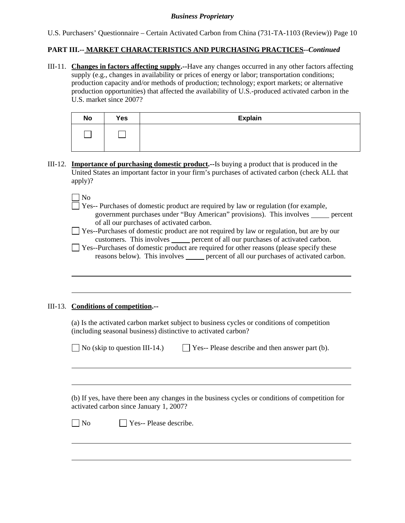U.S. Purchasers' Questionnaire – Certain Activated Carbon from China (731-TA-1103 (Review)) Page 10

### **PART III.-- MARKET CHARACTERISTICS AND PURCHASING PRACTICES***--Continued*

III-11. **Changes in factors affecting supply.--**Have any changes occurred in any other factors affecting supply (e.g., changes in availability or prices of energy or labor; transportation conditions; production capacity and/or methods of production; technology; export markets; or alternative production opportunities) that affected the availability of U.S.-produced activated carbon in the U.S. market since 2007?

| <b>No</b> | Yes | <b>Explain</b> |
|-----------|-----|----------------|
|           |     |                |

III-12. **Importance of purchasing domestic product.--**Is buying a product that is produced in the United States an important factor in your firm's purchases of activated carbon (check ALL that apply)?

 $\Box$  No

l

l

 $\overline{a}$ 

 $\overline{\Box}$  Yes-- Purchases of domestic product are required by law or regulation (for example, government purchases under "Buy American" provisions). This involves <u>percent</u> of all our purchases of activated carbon.

 Yes--Purchases of domestic product are not required by law or regulation, but are by our customers. This involves **percent of all our purchases of activated carbon.** 

 $\Box$  Yes--Purchases of domestic product are required for other reasons (please specify these reasons below). This involves <u>percent of all our purchases of activated carbon</u>.

### III-13. **Conditions of competition.--**

(a) Is the activated carbon market subject to business cycles or conditions of competition (including seasonal business) distinctive to activated carbon?

 $\Box$  No (skip to question III-14.)

|  |  |  |  | $\Box$ Yes-- Please describe and then answer part (b). |  |  |  |  |
|--|--|--|--|--------------------------------------------------------|--|--|--|--|
|--|--|--|--|--------------------------------------------------------|--|--|--|--|

 (b) If yes, have there been any changes in the business cycles or conditions of competition for activated carbon since January 1, 2007?

 $\neg$  No  $\neg$  Yes-- Please describe.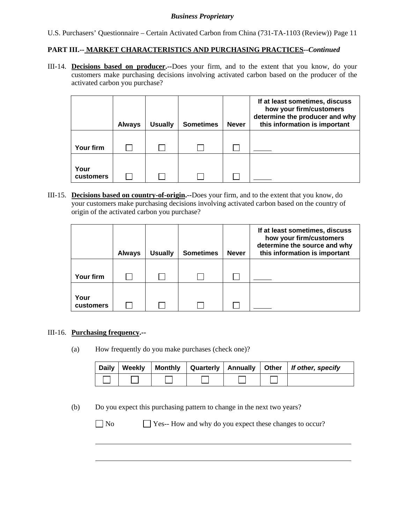U.S. Purchasers' Questionnaire – Certain Activated Carbon from China (731-TA-1103 (Review)) Page 11

### **PART III.-- MARKET CHARACTERISTICS AND PURCHASING PRACTICES***--Continued*

III-14. **Decisions based on producer.--**Does your firm, and to the extent that you know, do your customers make purchasing decisions involving activated carbon based on the producer of the activated carbon you purchase?

|                   | <b>Always</b> | <b>Usually</b> | <b>Sometimes</b> | <b>Never</b> | If at least sometimes, discuss<br>how your firm/customers<br>determine the producer and why<br>this information is important |
|-------------------|---------------|----------------|------------------|--------------|------------------------------------------------------------------------------------------------------------------------------|
| Your firm         |               |                |                  |              |                                                                                                                              |
| Your<br>customers |               |                |                  |              |                                                                                                                              |

III-15. **Decisions based on country-of-origin.--**Does your firm, and to the extent that you know, do your customers make purchasing decisions involving activated carbon based on the country of origin of the activated carbon you purchase?

|           | <b>Always</b> | <b>Usually</b> | <b>Sometimes</b> | <b>Never</b> | If at least sometimes, discuss<br>how your firm/customers<br>determine the source and why<br>this information is important |
|-----------|---------------|----------------|------------------|--------------|----------------------------------------------------------------------------------------------------------------------------|
|           |               |                |                  |              |                                                                                                                            |
| Your firm |               |                |                  |              |                                                                                                                            |
|           |               |                |                  |              |                                                                                                                            |
| Your      |               |                |                  |              |                                                                                                                            |
| customers |               |                |                  |              |                                                                                                                            |

### III-16. **Purchasing frequency.--**

(a) How frequently do you make purchases (check one)?

| <b>Daily</b> | Weekly |  |  | Monthly   Quarterly   Annually   Other   If other, specify |
|--------------|--------|--|--|------------------------------------------------------------|
|              |        |  |  |                                                            |

(b) Do you expect this purchasing pattern to change in the next two years?

 $\overline{a}$ 

No Ses-- How and why do you expect these changes to occur?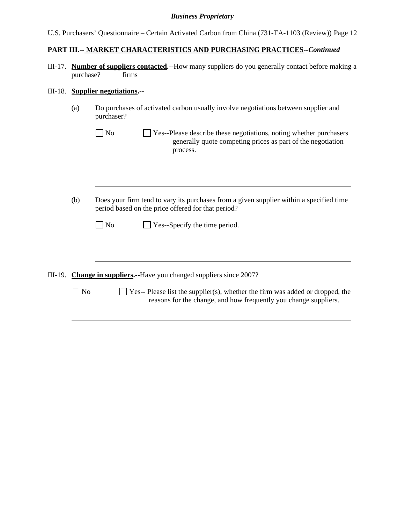| U.S. Purchasers' Questionnaire – Certain Activated Carbon from China (731-TA-1103 (Review)) Page 12 |  |  |
|-----------------------------------------------------------------------------------------------------|--|--|
|                                                                                                     |  |  |
|                                                                                                     |  |  |

# **PART III.-- MARKET CHARACTERISTICS AND PURCHASING PRACTICES***--Continued*

III-17. **Number of suppliers contacted.--**How many suppliers do you generally contact before making a purchase? firms

# III-18. **Supplier negotiations.--**

| (a)            | Do purchases of activated carbon usually involve negotiations between supplier and<br>purchaser?                                                                |  |  |  |  |  |  |
|----------------|-----------------------------------------------------------------------------------------------------------------------------------------------------------------|--|--|--|--|--|--|
|                | N <sub>o</sub><br>Yes--Please describe these negotiations, noting whether purchasers<br>generally quote competing prices as part of the negotiation<br>process. |  |  |  |  |  |  |
|                |                                                                                                                                                                 |  |  |  |  |  |  |
| (b)            | Does your firm tend to vary its purchases from a given supplier within a specified time<br>period based on the price offered for that period?                   |  |  |  |  |  |  |
|                | $\Box$ Yes--Specify the time period.<br>$\blacksquare$ No                                                                                                       |  |  |  |  |  |  |
|                |                                                                                                                                                                 |  |  |  |  |  |  |
|                | III-19. Change in suppliers.--Have you changed suppliers since 2007?                                                                                            |  |  |  |  |  |  |
| N <sub>o</sub> | $\Box$ Yes-- Please list the supplier(s), whether the firm was added or dropped, the<br>reasons for the change, and how frequently you change suppliers.        |  |  |  |  |  |  |
|                |                                                                                                                                                                 |  |  |  |  |  |  |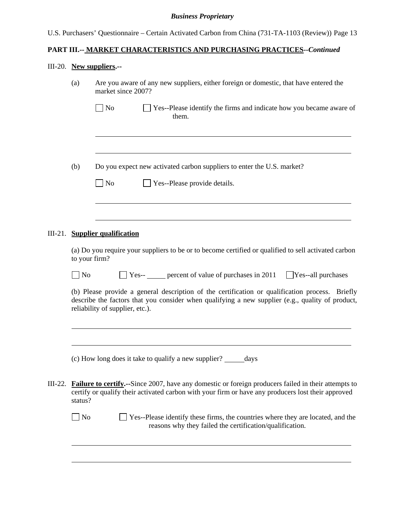U.S. Purchasers' Questionnaire – Certain Activated Carbon from China (731-TA-1103 (Review)) Page 13

# **PART III.-- MARKET CHARACTERISTICS AND PURCHASING PRACTICES***--Continued*

# III-20. **New suppliers.--**

|           | (a)                                                                                          | Are you aware of any new suppliers, either foreign or domestic, that have entered the<br>market since 2007?                                                                                                                            |  |  |  |  |  |  |  |
|-----------|----------------------------------------------------------------------------------------------|----------------------------------------------------------------------------------------------------------------------------------------------------------------------------------------------------------------------------------------|--|--|--|--|--|--|--|
|           |                                                                                              | $\Box$ No<br>$\Box$ Yes--Please identify the firms and indicate how you became aware of<br>them.                                                                                                                                       |  |  |  |  |  |  |  |
|           |                                                                                              |                                                                                                                                                                                                                                        |  |  |  |  |  |  |  |
|           | (b)                                                                                          | Do you expect new activated carbon suppliers to enter the U.S. market?                                                                                                                                                                 |  |  |  |  |  |  |  |
|           |                                                                                              | $\Box$ No<br>Yes--Please provide details.                                                                                                                                                                                              |  |  |  |  |  |  |  |
|           |                                                                                              |                                                                                                                                                                                                                                        |  |  |  |  |  |  |  |
|           |                                                                                              | III-21. Supplier qualification                                                                                                                                                                                                         |  |  |  |  |  |  |  |
|           | to your firm?                                                                                | (a) Do you require your suppliers to be or to become certified or qualified to sell activated carbon                                                                                                                                   |  |  |  |  |  |  |  |
|           | $\Box$ Yes-- $\Box$ percent of value of purchases in 2011<br>$\log$<br>$Yes$ --all purchases |                                                                                                                                                                                                                                        |  |  |  |  |  |  |  |
|           |                                                                                              | (b) Please provide a general description of the certification or qualification process. Briefly<br>describe the factors that you consider when qualifying a new supplier (e.g., quality of product,<br>reliability of supplier, etc.). |  |  |  |  |  |  |  |
|           |                                                                                              |                                                                                                                                                                                                                                        |  |  |  |  |  |  |  |
|           |                                                                                              | (c) How long does it take to qualify a new supplier?<br>days                                                                                                                                                                           |  |  |  |  |  |  |  |
| $III-22.$ | status?                                                                                      | <b>Failure to certify.</b> --Since 2007, have any domestic or foreign producers failed in their attempts to<br>certify or qualify their activated carbon with your firm or have any producers lost their approved                      |  |  |  |  |  |  |  |
|           | No                                                                                           | Yes--Please identify these firms, the countries where they are located, and the<br>reasons why they failed the certification/qualification.                                                                                            |  |  |  |  |  |  |  |
|           |                                                                                              |                                                                                                                                                                                                                                        |  |  |  |  |  |  |  |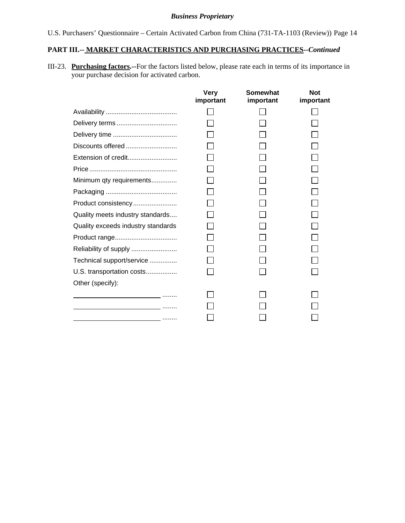U.S. Purchasers' Questionnaire – Certain Activated Carbon from China (731-TA-1103 (Review)) Page 14

# **PART III.-- MARKET CHARACTERISTICS AND PURCHASING PRACTICES***--Continued*

III-23. **Purchasing factors.--**For the factors listed below, please rate each in terms of its importance in your purchase decision for activated carbon.

|                                                                                                                                                                                                                                      | <b>Very</b><br>important | Somewhat<br>important | <b>Not</b><br>important |
|--------------------------------------------------------------------------------------------------------------------------------------------------------------------------------------------------------------------------------------|--------------------------|-----------------------|-------------------------|
|                                                                                                                                                                                                                                      |                          |                       |                         |
|                                                                                                                                                                                                                                      |                          |                       |                         |
|                                                                                                                                                                                                                                      |                          |                       |                         |
| Discounts offered                                                                                                                                                                                                                    |                          |                       |                         |
| Extension of credit                                                                                                                                                                                                                  |                          |                       |                         |
|                                                                                                                                                                                                                                      |                          |                       |                         |
| Minimum qty requirements                                                                                                                                                                                                             |                          |                       |                         |
|                                                                                                                                                                                                                                      |                          |                       |                         |
| Product consistency                                                                                                                                                                                                                  |                          |                       |                         |
| Quality meets industry standards                                                                                                                                                                                                     |                          |                       |                         |
| Quality exceeds industry standards                                                                                                                                                                                                   |                          |                       |                         |
|                                                                                                                                                                                                                                      |                          |                       |                         |
|                                                                                                                                                                                                                                      |                          |                       |                         |
| Technical support/service                                                                                                                                                                                                            |                          |                       |                         |
| U.S. transportation costs                                                                                                                                                                                                            |                          |                       |                         |
| Other (specify):                                                                                                                                                                                                                     |                          |                       |                         |
| the contract of the contract of the contract of                                                                                                                                                                                      |                          |                       |                         |
| the contract of the contract of the contract of the contract of the contract of                                                                                                                                                      |                          |                       |                         |
| <u>and the contract of the contract of the contract of the contract of the contract of the contract of the contract of the contract of the contract of the contract of the contract of the contract of the contract of the contr</u> |                          |                       |                         |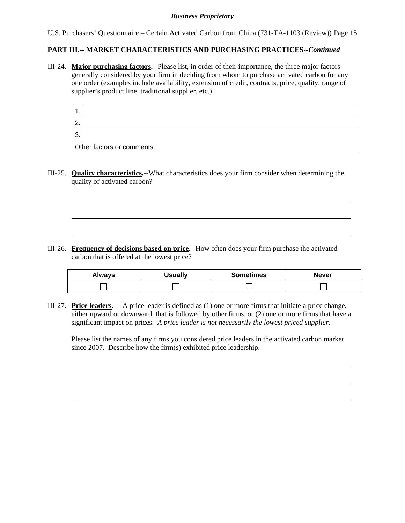U.S. Purchasers' Questionnaire – Certain Activated Carbon from China (731-TA-1103 (Review)) Page 15

### **PART III.-- MARKET CHARACTERISTICS AND PURCHASING PRACTICES***--Continued*

III-24. **Major purchasing factors.--**Please list, in order of their importance, the three major factors generally considered by your firm in deciding from whom to purchase activated carbon for any one order (examples include availability, extension of credit, contracts, price, quality, range of supplier's product line, traditional supplier, etc.).

| $\overline{2}$ |                            |
|----------------|----------------------------|
| '3             |                            |
|                | Other factors or comments: |

III-25. **Quality characteristics.--**What characteristics does your firm consider when determining the quality of activated carbon?

l

l

III-26. **Frequency of decisions based on price.--**How often does your firm purchase the activated carbon that is offered at the lowest price?

| Always | <b>Jsually</b> | <b>Sometimes</b> | <b>Never</b> |
|--------|----------------|------------------|--------------|
|        |                |                  |              |

III-27. **Price leaders.—** A price leader is defined as (1) one or more firms that initiate a price change, either upward or downward, that is followed by other firms, or (2) one or more firms that have a significant impact on prices. *A price leader is not necessarily the lowest priced supplier.* 

Please list the names of any firms you considered price leaders in the activated carbon market since 2007. Describe how the firm(s) exhibited price leadership.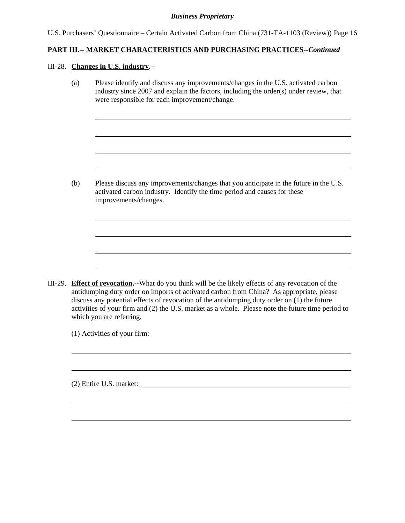U.S. Purchasers' Questionnaire – Certain Activated Carbon from China (731-TA-1103 (Review)) Page 16

### **PART III.-- MARKET CHARACTERISTICS AND PURCHASING PRACTICES***--Continued*

#### III-28. **Changes in U.S. industry.--**

l

l

(a) Please identify and discuss any improvements/changes in the U.S. activated carbon industry since 2007 and explain the factors, including the order(s) under review, that were responsible for each improvement/change.

(b) Please discuss any improvements/changes that you anticipate in the future in the U.S. activated carbon industry. Identify the time period and causes for these improvements/changes.

III-29. **Effect of revocation.--**What do you think will be the likely effects of any revocation of the antidumping duty order on imports of activated carbon from China? As appropriate, please discuss any potential effects of revocation of the antidumping duty order on (1) the future activities of your firm and (2) the U.S. market as a whole. Please note the future time period to which you are referring.

(1) Activities of your firm:

(2) Entire U.S. market: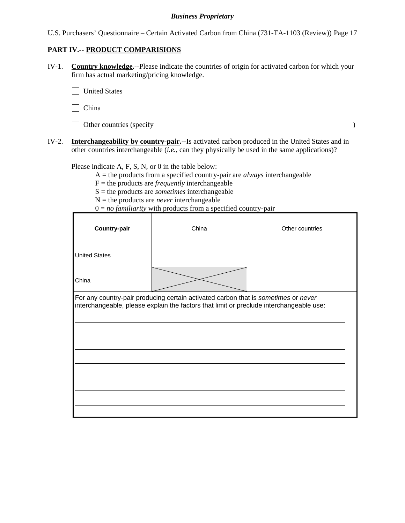U.S. Purchasers' Questionnaire – Certain Activated Carbon from China (731-TA-1103 (Review)) Page 17

# **PART IV.-- PRODUCT COMPARISIONS**

IV-1. **Country knowledge.--**Please indicate the countries of origin for activated carbon for which your firm has actual marketing/pricing knowledge.

**T** United States

 $\Box$  China

| Other countries (specify |  |
|--------------------------|--|
|--------------------------|--|

IV-2. **Interchangeability by country-pair.--**Is activated carbon produced in the United States and in other countries interchangeable (*i.e.*, can they physically be used in the same applications)?

Please indicate A, F, S, N, or 0 in the table below:

A = the products from a specified country-pair are *always* interchangeable

 $F =$  the products are *frequently* interchangeable

S = the products are *sometimes* interchangeable

- $N =$  the products are *never* interchangeable
- $0 = no$  *familiarity* with products from a specified country-pair

| <b>Country-pair</b>  | China                                                                                                                                                                         | Other countries |
|----------------------|-------------------------------------------------------------------------------------------------------------------------------------------------------------------------------|-----------------|
| <b>United States</b> |                                                                                                                                                                               |                 |
| China                |                                                                                                                                                                               |                 |
|                      | For any country-pair producing certain activated carbon that is sometimes or never<br>interchangeable, please explain the factors that limit or preclude interchangeable use: |                 |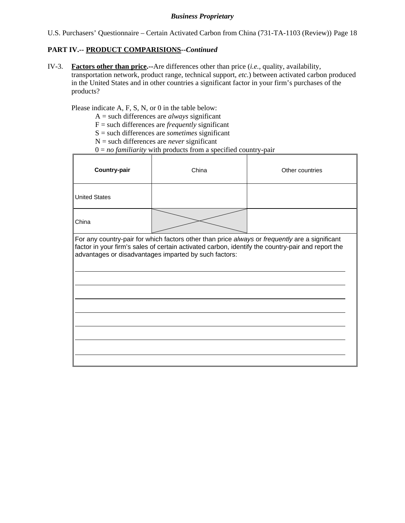U.S. Purchasers' Questionnaire – Certain Activated Carbon from China (731-TA-1103 (Review)) Page 18

## **PART IV.-- PRODUCT COMPARISIONS***--Continued*

IV-3. **Factors other than price.--**Are differences other than price (*i.e.*, quality, availability, transportation network, product range, technical support, *etc.*) between activated carbon produced in the United States and in other countries a significant factor in your firm's purchases of the products?

Please indicate A, F, S, N, or 0 in the table below:

- A = such differences are *always* significant
- F = such differences are *frequently* significant
- S = such differences are *sometimes* significant
- N = such differences are *never* significant

 $0 = no$  *familiarity* with products from a specified country-pair

| Country-pair         | China                                                 | Other countries                                                                                                                                                                                     |
|----------------------|-------------------------------------------------------|-----------------------------------------------------------------------------------------------------------------------------------------------------------------------------------------------------|
| <b>United States</b> |                                                       |                                                                                                                                                                                                     |
| China                |                                                       |                                                                                                                                                                                                     |
|                      | advantages or disadvantages imparted by such factors: | For any country-pair for which factors other than price always or frequently are a significant<br>factor in your firm's sales of certain activated carbon, identify the country-pair and report the |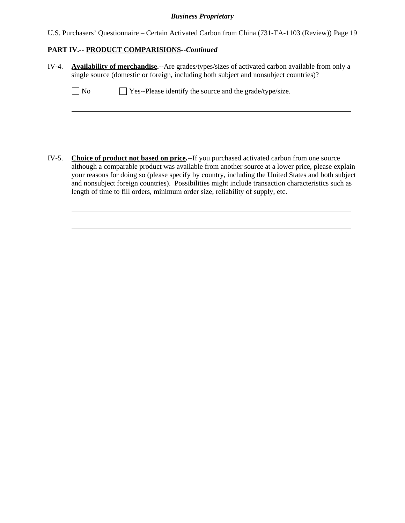U.S. Purchasers' Questionnaire – Certain Activated Carbon from China (731-TA-1103 (Review)) Page 19

# **PART IV.-- PRODUCT COMPARISIONS***--Continued*

| $IV-4.$ | <b>Availability of merchandise.</b> --Are grades/types/sizes of activated carbon available from only a<br>single source (domestic or foreign, including both subject and nonsubject countries)?                                                                                                                                                                                                                                                                                                   |  |  |  |  |  |  |
|---------|---------------------------------------------------------------------------------------------------------------------------------------------------------------------------------------------------------------------------------------------------------------------------------------------------------------------------------------------------------------------------------------------------------------------------------------------------------------------------------------------------|--|--|--|--|--|--|
|         | $\Box$ Yes--Please identify the source and the grade/type/size.<br>No                                                                                                                                                                                                                                                                                                                                                                                                                             |  |  |  |  |  |  |
|         |                                                                                                                                                                                                                                                                                                                                                                                                                                                                                                   |  |  |  |  |  |  |
|         |                                                                                                                                                                                                                                                                                                                                                                                                                                                                                                   |  |  |  |  |  |  |
| IV-5.   | <b>Choice of product not based on price.--If you purchased activated carbon from one source</b><br>although a comparable product was available from another source at a lower price, please explain<br>your reasons for doing so (please specify by country, including the United States and both subject<br>and nonsubject foreign countries). Possibilities might include transaction characteristics such as<br>length of time to fill orders, minimum order size, reliability of supply, etc. |  |  |  |  |  |  |
|         |                                                                                                                                                                                                                                                                                                                                                                                                                                                                                                   |  |  |  |  |  |  |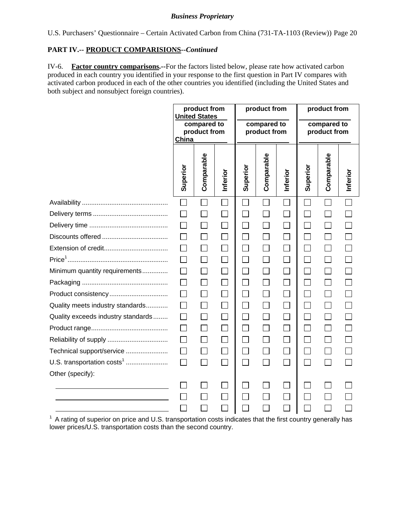U.S. Purchasers' Questionnaire – Certain Activated Carbon from China (731-TA-1103 (Review)) Page 20

## **PART IV.-- PRODUCT COMPARISIONS***--Continued*

IV-6. **Factor country comparisons.--**For the factors listed below, please rate how activated carbon produced in each country you identified in your response to the first question in Part IV compares with activated carbon produced in each of the other countries you identified (including the United States and both subject and nonsubject foreign countries).

|                                        | China    | product from<br><b>United States</b><br>compared to<br>product from |                | product from<br>compared to<br>product from |            | product from<br>compared to<br>product from |                   |            |          |
|----------------------------------------|----------|---------------------------------------------------------------------|----------------|---------------------------------------------|------------|---------------------------------------------|-------------------|------------|----------|
|                                        | Superior | Comparable                                                          | Inferior       | Superior                                    | Comparable | Inferior                                    | Superior          | Comparable | Inferior |
|                                        |          |                                                                     |                |                                             |            |                                             |                   |            |          |
|                                        |          |                                                                     |                |                                             |            | $\lfloor \ \rfloor$                         | $\sim$            |            |          |
|                                        |          |                                                                     |                |                                             |            |                                             |                   |            |          |
|                                        |          |                                                                     |                |                                             |            | $\Box$                                      |                   |            |          |
|                                        |          | $\Box$                                                              |                |                                             |            |                                             |                   |            |          |
|                                        |          | П                                                                   |                | $\blacksquare$                              |            | $\Box$                                      | $\Box$            |            |          |
| Minimum quantity requirements          |          |                                                                     |                | $\mathcal{L}_{\mathcal{A}}$                 |            | $\Box$                                      | $\vert \ \ \vert$ |            |          |
|                                        |          | $\Box$                                                              |                | П                                           |            | $\Box$                                      | $\mathsf{L}$      |            |          |
| Product consistency                    |          | П                                                                   |                |                                             |            |                                             |                   |            |          |
| Quality meets industry standards       |          | $\perp$                                                             |                | $\Box$                                      |            | $\Box$                                      | $\mathsf{L}$      | $\perp$    |          |
| Quality exceeds industry standards     |          | $\Box$                                                              |                | $\mathcal{L}_{\mathcal{A}}$                 |            | $\Box$                                      | $\Box$            |            |          |
|                                        |          |                                                                     |                | $\Box$                                      |            | $\Box$                                      | $\vert \ \ \vert$ |            |          |
|                                        |          | $\Box$                                                              |                | $\Box$                                      | $\Box$     | $\overline{\phantom{a}}$                    | $\Box$            |            |          |
| Technical support/service              |          | $\Box$                                                              | $\mathbb{R}^n$ | $\Box$                                      |            | $\Box$                                      | $\Box$            |            |          |
| U.S. transportation costs <sup>1</sup> | $\Box$   | $\Box$                                                              | $\Box$         | $\Box$                                      | $\Box$     | $\Box$                                      | $\Box$            |            |          |
| Other (specify):                       |          |                                                                     |                |                                             |            |                                             |                   |            |          |
|                                        |          |                                                                     |                |                                             |            |                                             |                   |            |          |
|                                        |          |                                                                     |                |                                             |            | $\sim$                                      |                   |            |          |
|                                        |          |                                                                     |                |                                             |            |                                             |                   |            |          |

 $1$  A rating of superior on price and U.S. transportation costs indicates that the first country generally has lower prices/U.S. transportation costs than the second country.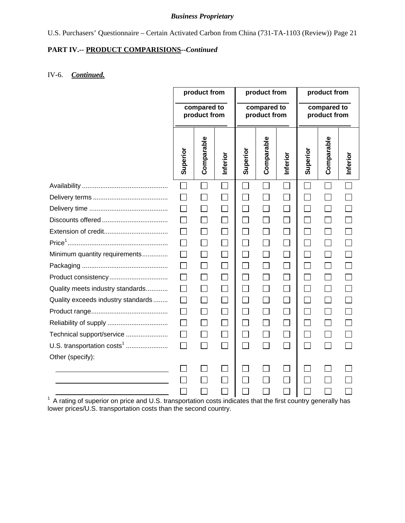# U.S. Purchasers' Questionnaire – Certain Activated Carbon from China (731-TA-1103 (Review)) Page 21

# **PART IV.-- PRODUCT COMPARISIONS***--Continued*

# IV-6. *Continued.*

|                                        | product from                                                                                                   |                             | product from |                             |            | product from                |          |                          |          |
|----------------------------------------|----------------------------------------------------------------------------------------------------------------|-----------------------------|--------------|-----------------------------|------------|-----------------------------|----------|--------------------------|----------|
|                                        |                                                                                                                | compared to<br>product from |              | compared to<br>product from |            | compared to<br>product from |          |                          |          |
|                                        | Superior                                                                                                       | Comparable                  | Inferior     | Superior                    | Comparable | Inferior                    | Superior | Comparable               | Inferior |
|                                        |                                                                                                                |                             |              |                             |            |                             |          |                          |          |
|                                        |                                                                                                                |                             |              |                             |            |                             |          |                          |          |
|                                        |                                                                                                                |                             |              |                             |            | $\Box$                      |          |                          |          |
|                                        |                                                                                                                |                             |              |                             |            | $\Box$                      |          |                          |          |
|                                        |                                                                                                                | $\Box$                      |              | $\Box$                      |            | $\Box$                      |          | $\mathbf{L}$             |          |
|                                        |                                                                                                                |                             |              |                             |            |                             |          |                          |          |
| Minimum quantity requirements          |                                                                                                                |                             |              |                             |            | $\Box$                      |          |                          |          |
|                                        |                                                                                                                | $\mathsf{L}$                |              | $\Box$                      |            | $\Box$                      | $\sim$   | $\mathbf{L}$             |          |
|                                        |                                                                                                                |                             |              |                             |            | $\Box$                      |          |                          |          |
| Quality meets industry standards       |                                                                                                                | $\mathsf{L}$                |              |                             |            | $\Box$                      |          |                          |          |
| Quality exceeds industry standards     |                                                                                                                |                             |              |                             |            | $\mathsf{I}$                |          |                          |          |
|                                        |                                                                                                                |                             |              |                             |            | $\Box$                      |          |                          |          |
|                                        |                                                                                                                | $\Box$                      |              |                             |            | $\Box$                      |          | $\overline{\phantom{a}}$ |          |
| Technical support/service              |                                                                                                                |                             |              |                             |            | $\Box$                      |          |                          |          |
| U.S. transportation costs <sup>1</sup> | $\mathsf{L}$                                                                                                   | $\Box$                      |              | $\Box$                      |            |                             |          |                          |          |
| Other (specify):                       |                                                                                                                |                             |              |                             |            |                             |          |                          |          |
|                                        |                                                                                                                |                             |              |                             |            |                             |          |                          |          |
|                                        |                                                                                                                |                             |              |                             |            |                             |          |                          |          |
|                                        |                                                                                                                |                             |              |                             |            |                             |          |                          |          |
|                                        | $1$ A rating of superior on price and U.S. transportation costs indicates that the first country generally has |                             |              |                             |            |                             |          |                          |          |

lower prices/U.S. transportation costs than the second country.